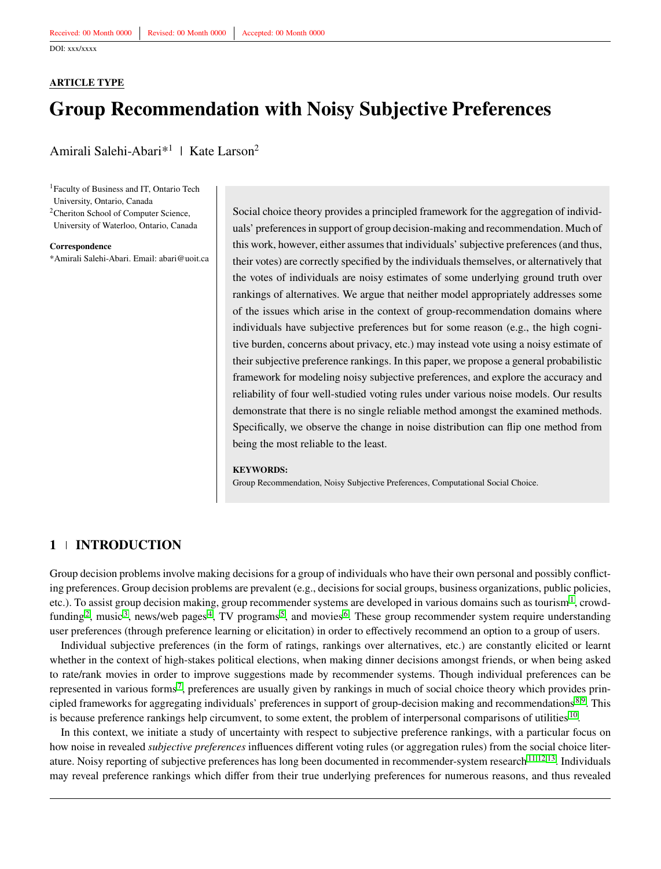#### <span id="page-0-0"></span>**ARTICLE TYPE**

# **Group Recommendation with Noisy Subjective Preferences**

Amirali Salehi-Abari<sup>\*1</sup> | Kate Larson<sup>2</sup>

<sup>1</sup> Faculty of Business and IT, Ontario Tech University, Ontario, Canada

<sup>2</sup>Cheriton School of Computer Science, University of Waterloo, Ontario, Canada

**Correspondence**

\*Amirali Salehi-Abari. Email: abari@uoit.ca

Social choice theory provides a principled framework for the aggregation of individuals' preferences in support of group decision-making and recommendation. Much of this work, however, either assumes that individuals' subjective preferences (and thus, their votes) are correctly specified by the individuals themselves, or alternatively that the votes of individuals are noisy estimates of some underlying ground truth over rankings of alternatives. We argue that neither model appropriately addresses some of the issues which arise in the context of group-recommendation domains where individuals have subjective preferences but for some reason (e.g., the high cognitive burden, concerns about privacy, etc.) may instead vote using a noisy estimate of their subjective preference rankings. In this paper, we propose a general probabilistic framework for modeling noisy subjective preferences, and explore the accuracy and reliability of four well-studied voting rules under various noise models. Our results demonstrate that there is no single reliable method amongst the examined methods. Specifically, we observe the change in noise distribution can flip one method from being the most reliable to the least.

#### **KEYWORDS:**

Group Recommendation, Noisy Subjective Preferences, Computational Social Choice.

### **1 INTRODUCTION**

Group decision problems involve making decisions for a group of individuals who have their own personal and possibly conflicting preferences. Group decision problems are prevalent (e.g., decisions for social groups, business organizations, public policies, etc.). To assist group decision making, group recommender systems are developed in various domains such as tourism <sup>[1](#page-10-0)</sup>, crowd-funding<sup>[2](#page-10-1)</sup>, music<sup>[3](#page-10-2)</sup>, news/web pages<sup>[4](#page-10-3)</sup>, TV programs<sup>[5](#page-10-4)</sup>, and movies<sup>[6](#page-10-5)</sup>. These group recommender system require understanding user preferences (through preference learning or elicitation) in order to effectively recommend an option to a group of users.

Individual subjective preferences (in the form of ratings, rankings over alternatives, etc.) are constantly elicited or learnt whether in the context of high-stakes political elections, when making dinner decisions amongst friends, or when being asked to rate/rank movies in order to improve suggestions made by recommender systems. Though individual preferences can be represented in various forms<sup>[7](#page-10-6)</sup>, preferences are usually given by rankings in much of social choice theory which provides principled frameworks for aggregating individuals' preferences in support of group-decision making and recommendations  $8.9$  $8.9$ . This is because preference rankings help circumvent, to some extent, the problem of interpersonal comparisons of utilities [10](#page-11-0).

In this context, we initiate a study of uncertainty with respect to subjective preference rankings, with a particular focus on how noise in revealed *subjective preferences* influences different voting rules (or aggregation rules) from the social choice liter-ature. Noisy reporting of subjective preferences has long been documented in recommender-system research<sup>[11](#page-11-1)[,12](#page-11-2)[,13](#page-11-3)</sup>. Individuals may reveal preference rankings which differ from their true underlying preferences for numerous reasons, and thus revealed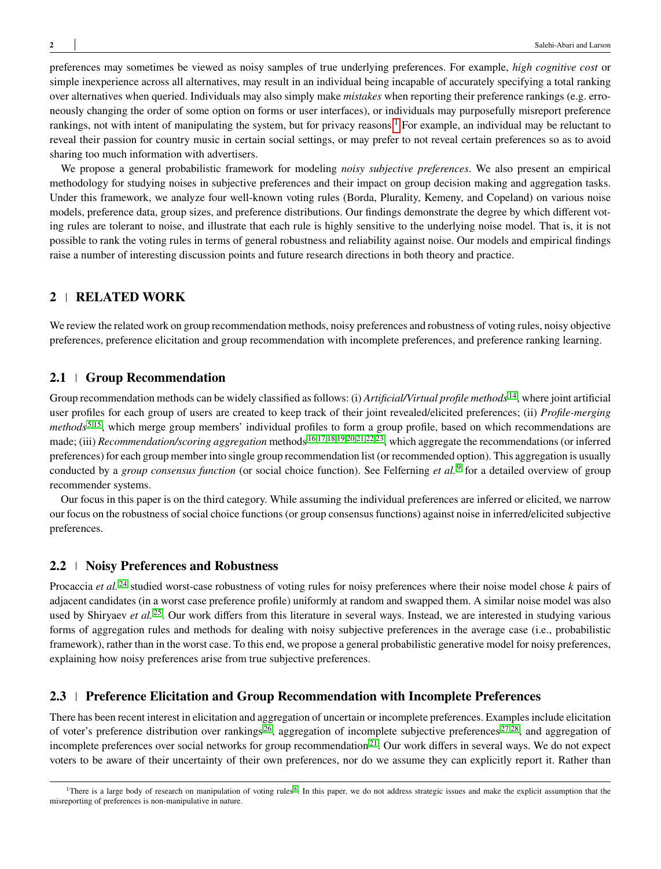preferences may sometimes be viewed as noisy samples of true underlying preferences. For example, *high cognitive cost* or simple inexperience across all alternatives, may result in an individual being incapable of accurately specifying a total ranking over alternatives when queried. Individuals may also simply make *mistakes* when reporting their preference rankings (e.g. erroneously changing the order of some option on forms or user interfaces), or individuals may purposefully misreport preference rankings, not with intent of manipulating the system, but for privacy reasons.<sup>[1](#page-0-0)</sup> For example, an individual may be reluctant to reveal their passion for country music in certain social settings, or may prefer to not reveal certain preferences so as to avoid sharing too much information with advertisers.

We propose a general probabilistic framework for modeling *noisy subjective preferences*. We also present an empirical methodology for studying noises in subjective preferences and their impact on group decision making and aggregation tasks. Under this framework, we analyze four well-known voting rules (Borda, Plurality, Kemeny, and Copeland) on various noise models, preference data, group sizes, and preference distributions. Our findings demonstrate the degree by which different voting rules are tolerant to noise, and illustrate that each rule is highly sensitive to the underlying noise model. That is, it is not possible to rank the voting rules in terms of general robustness and reliability against noise. Our models and empirical findings raise a number of interesting discussion points and future research directions in both theory and practice.

# **2 RELATED WORK**

We review the related work on group recommendation methods, noisy preferences and robustness of voting rules, noisy objective preferences, preference elicitation and group recommendation with incomplete preferences, and preference ranking learning.

# **2.1 Group Recommendation**

Group recommendation methods can be widely classified as follows: (i) *Artificial/Virtual profile methods* [14](#page-11-4), where joint artificial user profiles for each group of users are created to keep track of their joint revealed/elicited preferences; (ii) *Profile-merging methods* [5](#page-10-4)[,15](#page-11-5), which merge group members' individual profiles to form a group profile, based on which recommendations are made; (iii) *Recommendation/scoring aggregation* methods [16](#page-11-6)[,17](#page-11-7)[,18,](#page-11-8)[19](#page-11-9)[,20](#page-11-10)[,21](#page-11-11)[,22,](#page-11-12)[23](#page-11-13), which aggregate the recommendations (or inferred preferences) for each group member into single group recommendation list (or recommended option). This aggregation is usually conducted by a *group consensus function* (or social choice function). See Felferning *et al.* [9](#page-10-8) for a detailed overview of group recommender systems.

Our focus in this paper is on the third category. While assuming the individual preferences are inferred or elicited, we narrow our focus on the robustness of social choice functions (or group consensus functions) against noise in inferred/elicited subjective preferences.

#### **2.2 Noisy Preferences and Robustness**

Procaccia *et al.* <sup>[24](#page-11-14)</sup> studied worst-case robustness of voting rules for noisy preferences where their noise model chose *k* pairs of adjacent candidates (in a worst case preference profile) uniformly at random and swapped them. A similar noise model was also used by Shiryaev *et al.* [25](#page-11-15). Our work differs from this literature in several ways. Instead, we are interested in studying various forms of aggregation rules and methods for dealing with noisy subjective preferences in the average case (i.e., probabilistic framework), rather than in the worst case. To this end, we propose a general probabilistic generative model for noisy preferences, explaining how noisy preferences arise from true subjective preferences.

#### **2.3 Preference Elicitation and Group Recommendation with Incomplete Preferences**

There has been recent interest in elicitation and aggregation of uncertain or incomplete preferences. Examples include elicitation of voter's preference distribution over rankings  $^{26}$  $^{26}$  $^{26}$ , aggregation of incomplete subjective preferences  $^{27,28}$  $^{27,28}$  $^{27,28}$  $^{27,28}$ , and aggregation of incomplete preferences over social networks for group recommendation<sup>[21](#page-11-11)</sup>. Our work differs in several ways. We do not expect voters to be aware of their uncertainty of their own preferences, nor do we assume they can explicitly report it. Rather than

<sup>&</sup>lt;sup>1</sup>There is a large body of research on manipulation of voting rules<sup>[8](#page-10-7)</sup>. In this paper, we do not address strategic issues and make the explicit assumption that the misreporting of preferences is non-manipulative in nature.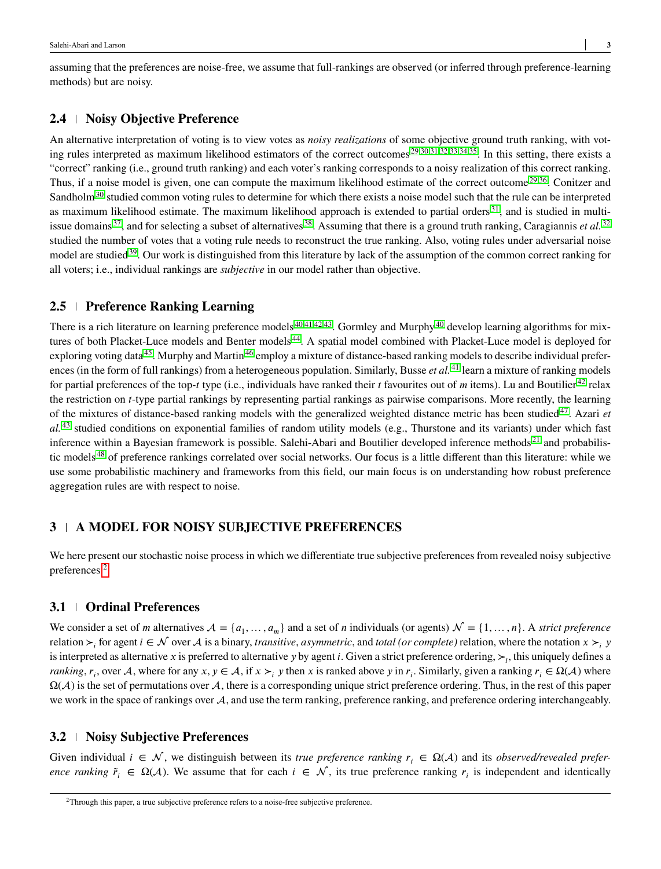assuming that the preferences are noise-free, we assume that full-rankings are observed (or inferred through preference-learning methods) but are noisy.

### **2.4 Noisy Objective Preference**

An alternative interpretation of voting is to view votes as *noisy realizations* of some objective ground truth ranking, with voting rules interpreted as maximum likelihood estimators of the correct outcomes [29](#page-11-19)[,30,](#page-11-20)[31,](#page-11-21)[32,](#page-12-0)[33](#page-12-1)[,34,](#page-12-2)[35](#page-12-3). In this setting, there exists a "correct" ranking (i.e., ground truth ranking) and each voter's ranking corresponds to a noisy realization of this correct ranking. Thus, if a noise model is given, one can compute the maximum likelihood estimate of the correct outcome  $29,36$  $29,36$ . Conitzer and Sandholm<sup>[30](#page-11-20)</sup> studied common voting rules to determine for which there exists a noise model such that the rule can be interpreted as maximum likelihood estimate. The maximum likelihood approach is extended to partial orders  $31$ , and is studied in multi-issue domains <sup>[37](#page-12-5)</sup>, and for selecting a subset of alternatives <sup>[38](#page-12-6)</sup>. Assuming that there is a ground truth ranking, Caragiannis *et al.* <sup>[32](#page-12-0)</sup> studied the number of votes that a voting rule needs to reconstruct the true ranking. Also, voting rules under adversarial noise model are studied<sup>[39](#page-12-7)</sup>. Our work is distinguished from this literature by lack of the assumption of the common correct ranking for all voters; i.e., individual rankings are *subjective* in our model rather than objective.

### **2.5 Preference Ranking Learning**

There is a rich literature on learning preference models  $40,41,42,43$  $40,41,42,43$  $40,41,42,43$  $40,41,42,43$ . Gormley and Murphy $40$  develop learning algorithms for mix-tures of both Placket-Luce models and Benter models<sup>[44](#page-12-12)</sup>. A spatial model combined with Placket-Luce model is deployed for exploring voting data<sup>[45](#page-12-13)</sup>. Murphy and Martin<sup>[46](#page-12-14)</sup> employ a mixture of distance-based ranking models to describe individual preferences (in the form of full rankings) from a heterogeneous population. Similarly, Busse *et al.*<sup>[41](#page-12-9)</sup> learn a mixture of ranking models for partial preferences of the top-*t* type (i.e., individuals have ranked their *t* favourites out of *m* items). Lu and Boutilier<sup>[42](#page-12-10)</sup> relax the restriction on *t*-type partial rankings by representing partial rankings as pairwise comparisons. More recently, the learning of the mixtures of distance-based ranking models with the generalized weighted distance metric has been studied[47](#page-12-15). Azari *et al.* [43](#page-12-11) studied conditions on exponential families of random utility models (e.g., Thurstone and its variants) under which fast inference within a Bayesian framework is possible. Salehi-Abari and Boutilier developed inference methods  $2<sup>1</sup>$  and probabilistic models [48](#page-12-16) of preference rankings correlated over social networks. Our focus is a little different than this literature: while we use some probabilistic machinery and frameworks from this field, our main focus is on understanding how robust preference aggregation rules are with respect to noise.

### **3 A MODEL FOR NOISY SUBJECTIVE PREFERENCES**

We here present our stochastic noise process in which we differentiate true subjective preferences from revealed noisy subjective preferences.[2](#page-0-0)

#### **3.1 Ordinal Preferences**

We consider a set of *m* alternatives  $A = \{a_1, \ldots, a_m\}$  and a set of *n* individuals (or agents)  $\mathcal{N} = \{1, \ldots, n\}$ . A *strict preference* relation  $\succ_i$  for agent  $i \in \mathcal{N}$  over  $\mathcal{A}$  is a binary, *transitive*, *asymmetric*, and *total (or complete)* relation, where the notation  $x \succ_i y$ is interpreted as alternative *x* is preferred to alternative *y* by agent *i*. Given a strict preference ordering, ≻<sub>*i*</sub>, this uniquely defines a *ranking*,  $r_i$ , over A, where for any  $x, y \in A$ , if  $x \succ_i y$  then  $x$  is ranked above  $y$  in  $r_i$ . Similarly, given a ranking  $r_i \in \Omega(A)$  where  $\Omega(\mathcal{A})$  is the set of permutations over  $\mathcal{A}$ , there is a corresponding unique strict preference ordering. Thus, in the rest of this paper we work in the space of rankings over  $\mathcal{A}$ , and use the term ranking, preference ranking, and preference ordering interchangeably.

#### **3.2 Noisy Subjective Preferences**

Given individual  $i \in \mathcal{N}$ , we distinguish between its *true preference ranking*  $r_i \in \Omega(\mathcal{A})$  and its *observed/revealed preference ranking*  $\tilde{r}_i \in \Omega(\mathcal{A})$ . We assume that for each  $i \in \mathcal{N}$ , its true preference ranking  $r_i$  is independent and identically

<sup>&</sup>lt;sup>2</sup>Through this paper, a true subjective preference refers to a noise-free subjective preference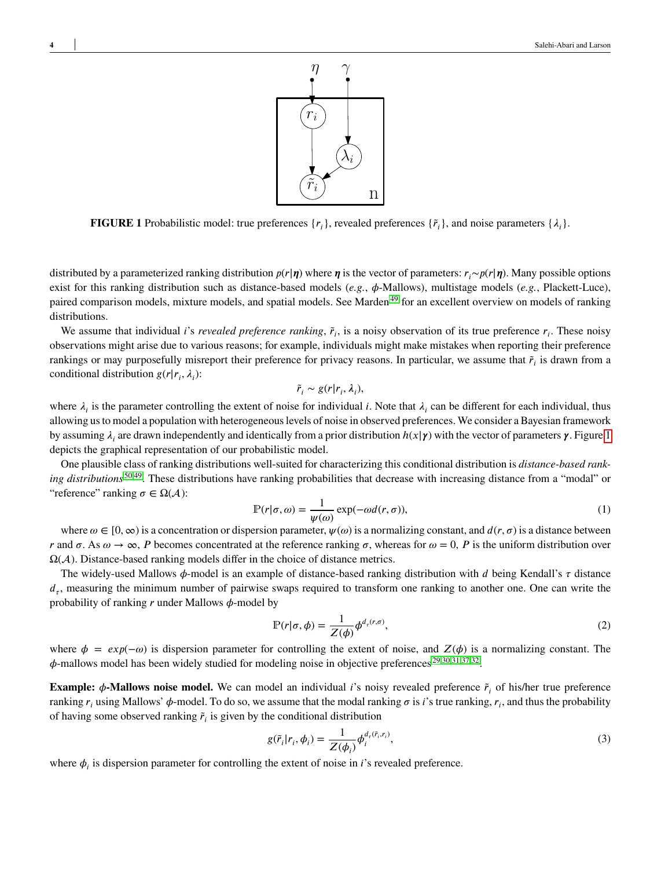

<span id="page-3-0"></span>**FIGURE 1** Probabilistic model: true preferences  $\{r_i\}$ , revealed preferences  $\{\tilde{r}_i\}$ , and noise parameters  $\{\lambda_i\}$ .

distributed by a parameterized ranking distribution  $p(r|\eta)$  where  $\eta$  is the vector of parameters:  $r_i \sim p(r|\eta)$ . Many possible options exist for this ranking distribution such as distance-based models (*e.g.*, *φ*-Mallows), multistage models (*e.g.*, Plackett-Luce), paired comparison models, mixture models, and spatial models. See Marden<sup>[49](#page-12-17)</sup> for an excellent overview on models of ranking distributions.

We assume that individual *i*'s *revealed preference ranking*,  $\tilde{r}_i$ , is a noisy observation of its true preference  $r_i$ . These noisy observations might arise due to various reasons; for example, individuals might make mistakes when reporting their preference rankings or may purposefully misreport their preference for privacy reasons. In particular, we assume that  $\tilde{r}_i$  is drawn from a conditional distribution  $g(r|r_i, \lambda_i)$ :

$$
\tilde{r}_i \sim g(r|r_i, \lambda_i),
$$

where  $\lambda_i$  is the parameter controlling the extent of noise for individual *i*. Note that  $\lambda_i$  can be different for each individual, thus allowing us to model a population with heterogeneous levels of noise in observed preferences. We consider a Bayesian framework by assuming *𝜆<sup>𝑖</sup>* are drawn independently and identically from a prior distribution *ℎ*(*𝑥*|*𝜸*) with the vector of parameters *𝜸*. Figure [1](#page-3-0) depicts the graphical representation of our probabilistic model.

One plausible class of ranking distributions well-suited for characterizing this conditional distribution is *distance-based ranking distributions* [50,](#page-12-18)[49](#page-12-17). These distributions have ranking probabilities that decrease with increasing distance from a "modal" or "reference" ranking  $\sigma \in \Omega(\mathcal{A})$ :

$$
\mathbb{P}(r|\sigma,\omega) = \frac{1}{\psi(\omega)} \exp(-\omega d(r,\sigma)),\tag{1}
$$

where  $\omega \in [0, \infty)$  is a concentration or dispersion parameter,  $\psi(\omega)$  is a normalizing constant, and  $d(r, \sigma)$  is a distance between *r* and  $\sigma$ . As  $\omega \to \infty$ , *P* becomes concentrated at the reference ranking  $\sigma$ , whereas for  $\omega = 0$ , *P* is the uniform distribution over  $\Omega(\mathcal{A})$ . Distance-based ranking models differ in the choice of distance metrics.

The widely-used Mallows  $\phi$ -model is an example of distance-based ranking distribution with *d* being Kendall's  $\tau$  distance  $d_{\tau}$ , measuring the minimum number of pairwise swaps required to transform one ranking to another one. One can write the probability of ranking  $r$  under Mallows  $\phi$ -model by

$$
\mathbb{P}(r|\sigma,\phi) = \frac{1}{Z(\phi)} \phi^{d_r(r,\sigma)},\tag{2}
$$

where  $\phi = exp(-\omega)$  is dispersion parameter for controlling the extent of noise, and  $Z(\phi)$  is a normalizing constant. The  $\phi$ -mallows model has been widely studied for modeling noise in objective preferences<sup>[29](#page-11-19)[,30](#page-11-20)[,31](#page-11-21)[,37,](#page-12-5)[32](#page-12-0)</sup>.

**Example:**  $\phi$ **-Mallows noise model.** We can model an individual *i*'s noisy revealed preference  $\tilde{r}_i$  of his/her true preference ranking  $r_i$  using Mallows'  $\phi$ -model. To do so, we assume that the modal ranking  $\sigma$  is *i*'s true ranking,  $r_i$ , and thus the probability of having some observed ranking  $\tilde{r}_i$  is given by the conditional distribution

<span id="page-3-1"></span>
$$
g(\tilde{r}_i|r_i, \phi_i) = \frac{1}{Z(\phi_i)} \phi_i^{d_{\tau}(\tilde{r}_i, r_i)},
$$
\n(3)

where  $\phi_i$  is dispersion parameter for controlling the extent of noise in *i*'s revealed preference.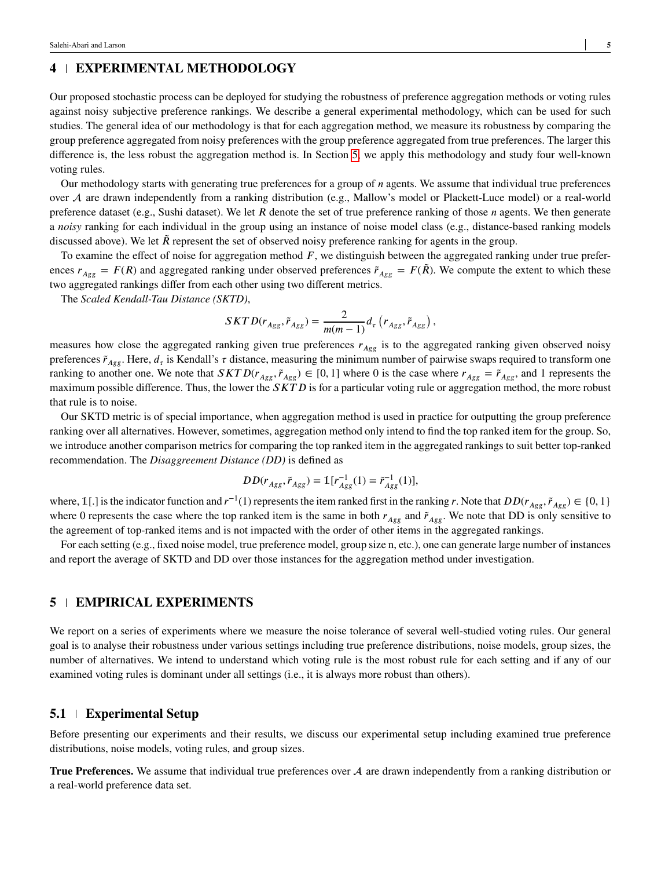# **4 EXPERIMENTAL METHODOLOGY**

Our proposed stochastic process can be deployed for studying the robustness of preference aggregation methods or voting rules against noisy subjective preference rankings. We describe a general experimental methodology, which can be used for such studies. The general idea of our methodology is that for each aggregation method, we measure its robustness by comparing the group preference aggregated from noisy preferences with the group preference aggregated from true preferences. The larger this difference is, the less robust the aggregation method is. In Section [5,](#page-4-0) we apply this methodology and study four well-known voting rules.

Our methodology starts with generating true preferences for a group of *n* agents. We assume that individual true preferences over A are drawn independently from a ranking distribution (e.g., Mallow's model or Plackett-Luce model) or a real-world preference dataset (e.g., Sushi dataset). We let *R* denote the set of true preference ranking of those *n* agents. We then generate a *noisy* ranking for each individual in the group using an instance of noise model class (e.g., distance-based ranking models discussed above). We let  $\tilde{R}$  represent the set of observed noisy preference ranking for agents in the group.

To examine the effect of noise for aggregation method *F*, we distinguish between the aggregated ranking under true preferences  $r_{Agg} = F(R)$  and aggregated ranking under observed preferences  $\tilde{r}_{Agg} = F(\tilde{R})$ . We compute the extent to which these two aggregated rankings differ from each other using two different metrics.

The *Scaled Kendall-Tau Distance (SKTD)*,

$$
SKTD(r_{Agg},\tilde{r}_{Agg})=\frac{2}{m(m-1)}d_{\tau}\left(r_{Agg},\tilde{r}_{Agg}\right),\,
$$

measures how close the aggregated ranking given true preferences  $r_{Aee}$  is to the aggregated ranking given observed noisy preferences  $\tilde{r}_{Agg}$ . Here,  $d_{\tau}$  is Kendall's  $\tau$  distance, measuring the minimum number of pairwise swaps required to transform one ranking to another one. We note that  $SKTD(r_{Agg}, \tilde{r}_{Agg}) \in [0, 1]$  where 0 is the case where  $r_{Agg} = \tilde{r}_{Agg}$ , and 1 represents the maximum possible difference. Thus, the lower the *SKTD* is for a particular voting rule or aggregation method, the more robust that rule is to noise.

Our SKTD metric is of special importance, when aggregation method is used in practice for outputting the group preference ranking over all alternatives. However, sometimes, aggregation method only intend to find the top ranked item for the group. So, we introduce another comparison metrics for comparing the top ranked item in the aggregated rankings to suit better top-ranked recommendation. The *Disaggreement Distance (DD)* is defined as

$$
DD(r_{Agg}, \tilde{r}_{Agg}) = \mathbb{1}[r_{Agg}^{-1}(1) = \tilde{r}_{Agg}^{-1}(1)],
$$

where,  $\mathbb{1}[.]$  is the indicator function and  $r^{-1}(1)$  represents the item ranked first in the ranking *r*. Note that  $DD(r_{Agg}, \tilde{r}_{Agg}) \in \{0, 1\}$ where 0 represents the case where the top ranked item is the same in both  $r_{Agg}$  and  $\tilde{r}_{Agg}$ . We note that DD is only sensitive to the agreement of top-ranked items and is not impacted with the order of other items in the aggregated rankings.

For each setting (e.g., fixed noise model, true preference model, group size n, etc.), one can generate large number of instances and report the average of SKTD and DD over those instances for the aggregation method under investigation.

# <span id="page-4-0"></span>**5 EMPIRICAL EXPERIMENTS**

We report on a series of experiments where we measure the noise tolerance of several well-studied voting rules. Our general goal is to analyse their robustness under various settings including true preference distributions, noise models, group sizes, the number of alternatives. We intend to understand which voting rule is the most robust rule for each setting and if any of our examined voting rules is dominant under all settings (i.e., it is always more robust than others).

#### **5.1 Experimental Setup**

Before presenting our experiments and their results, we discuss our experimental setup including examined true preference distributions, noise models, voting rules, and group sizes.

**True Preferences.** We assume that individual true preferences over A are drawn independently from a ranking distribution or a real-world preference data set.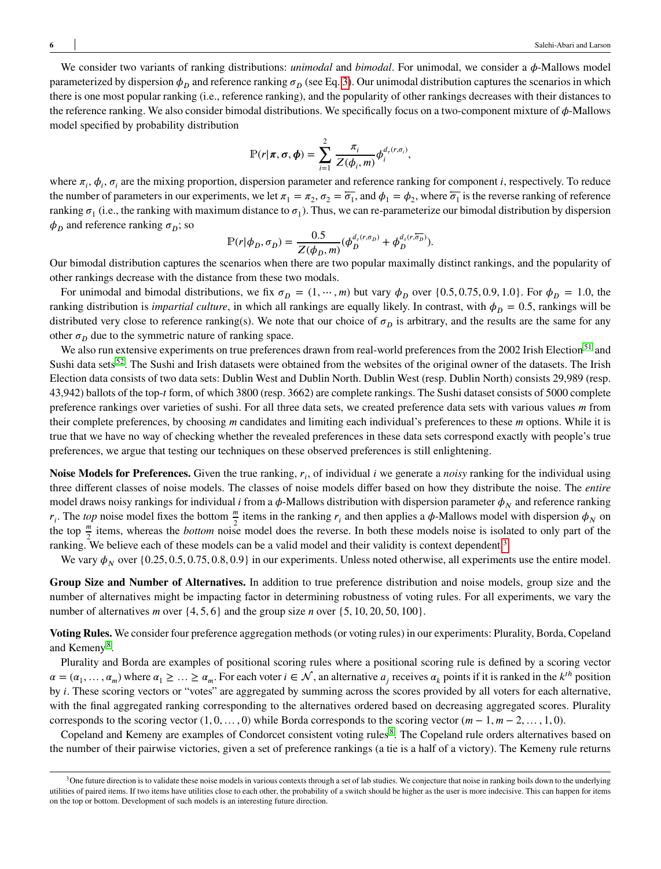We consider two variants of ranking distributions: *unimodal* and *bimodal*. For unimodal, we consider a  $\phi$ -Mallows model parameterized by dispersion  $\phi$ <sup>*n*</sup> and reference ranking  $\sigma$ <sup>*n*</sup> (see Eq. [3\)](#page-3-1). Our unimodal distribution captures the scenarios in which there is one most popular ranking (i.e., reference ranking), and the popularity of other rankings decreases with their distances to the reference ranking. We also consider bimodal distributions. We specifically focus on a two-component mixture of  $\phi$ -Mallows model specified by probability distribution

$$
\mathbb{P}(r|\pi,\sigma,\phi)=\sum_{i=1}^2\frac{\pi_i}{Z(\phi_i,m)}\phi_i^{d_\tau(r,\sigma_i)},
$$

where  $\pi_i$ ,  $\phi_i$ ,  $\sigma_i$  are the mixing proportion, dispersion parameter and reference ranking for component *i*, respectively. To reduce the number of parameters in our experiments, we let  $\pi_1 = \pi_2$ ,  $\sigma_2 = \overline{\sigma_1}$ , and  $\phi_1 = \phi_2$ , where  $\overline{\sigma_1}$  is the reverse ranking of reference ranking  $\sigma_1$  (i.e., the ranking with maximum distance to  $\sigma_1$ ). Thus, we can re-parameterize our bimodal distribution by dispersion  $\phi$ <sup>*n*</sup> and reference ranking  $\sigma$ <sup>*n*</sup>; so

$$
\mathbb{P}(r|\phi_D, \sigma_D) = \frac{0.5}{Z(\phi_D, m)} (\phi_D^{d_r(r, \sigma_D)} + \phi_D^{d_r(r, \overline{\phi_D})}).
$$

Our bimodal distribution captures the scenarios when there are two popular maximally distinct rankings, and the popularity of other rankings decrease with the distance from these two modals.

For unimodal and bimodal distributions, we fix  $\sigma_D = (1, \dots, m)$  but vary  $\phi_D$  over  $\{0.5, 0.75, 0.9, 1.0\}$ . For  $\phi_D = 1.0$ , the ranking distribution is *impartial culture*, in which all rankings are equally likely. In contrast, with  $\phi_p = 0.5$ , rankings will be distributed very close to reference ranking(s). We note that our choice of  $\sigma_p$  is arbitrary, and the results are the same for any other  $\sigma_{\rm D}$  due to the symmetric nature of ranking space.

We also run extensive experiments on true preferences drawn from real-world preferences from the 2002 Irish Election<sup>[51](#page-12-19)</sup> and Sushi data sets<sup>[52](#page-12-20)</sup>. The Sushi and Irish datasets were obtained from the websites of the original owner of the datasets. The Irish Election data consists of two data sets: Dublin West and Dublin North. Dublin West (resp. Dublin North) consists 29,989 (resp. 43,942) ballots of the top-*𝑡* form, of which 3800 (resp. 3662) are complete rankings. The Sushi dataset consists of 5000 complete preference rankings over varieties of sushi. For all three data sets, we created preference data sets with various values *m* from their complete preferences, by choosing *m* candidates and limiting each individual's preferences to these *m* options. While it is true that we have no way of checking whether the revealed preferences in these data sets correspond exactly with people's true preferences, we argue that testing our techniques on these observed preferences is still enlightening.

**Noise Models for Preferences.** Given the true ranking,  $r_i$ , of individual *i* we generate a *noisy* ranking for the individual using three different classes of noise models. The classes of noise models differ based on how they distribute the noise. The *entire* model draws noisy rankings for individual *i* from a  $\phi$ -Mallows distribution with dispersion parameter  $\phi_N$  and reference ranking  $r_i$ . The *top* noise model fixes the bottom  $\frac{m}{2}$  items in the ranking  $r_i$  and then applies a  $\phi$ -Mallows model with dispersion  $\phi_N$  on the top  $\frac{m}{2}$  items, whereas the *bottom* noise model does the reverse. In both these models noise is isolated to only part of the  $\frac{2}{2}$  ranking. We believe each of these models can be a valid model and their validity is context dependent.<sup>[3](#page-0-0)</sup>

We vary  $\phi_N$  over  $\{0.25, 0.5, 0.75, 0.8, 0.9\}$  in our experiments. Unless noted otherwise, all experiments use the entire model.

**Group Size and Number of Alternatives.** In addition to true preference distribution and noise models, group size and the number of alternatives might be impacting factor in determining robustness of voting rules. For all experiments, we vary the number of alternatives *m* over  $\{4, 5, 6\}$  and the group size *n* over  $\{5, 10, 20, 50, 100\}$ .

**Voting Rules.** We consider four preference aggregation methods (or voting rules) in our experiments: Plurality, Borda, Copeland and Kemeny<sup>[8](#page-10-7)</sup>.

Plurality and Borda are examples of positional scoring rules where a positional scoring rule is defined by a scoring vector  $\alpha = (\alpha_1, \dots, \alpha_m)$  where  $\alpha_1 \geq \dots \geq \alpha_m$ . For each voter  $i \in \mathcal{N}$ , an alternative  $a_j$  receives  $\alpha_k$  points if it is ranked in the  $k^{th}$  position by *i*. These scoring vectors or "votes" are aggregated by summing across the scores provided by all voters for each alternative, with the final aggregated ranking corresponding to the alternatives ordered based on decreasing aggregated scores. Plurality corresponds to the scoring vector  $(1, 0, \ldots, 0)$  while Borda corresponds to the scoring vector  $(m-1, m-2, \ldots, 1, 0)$ .

Copeland and Kemeny are examples of Condorcet consistent voting rules<sup>[8](#page-10-7)</sup>. The Copeland rule orders alternatives based on the number of their pairwise victories, given a set of preference rankings (a tie is a half of a victory). The Kemeny rule returns

<sup>&</sup>lt;sup>3</sup>One future direction is to validate these noise models in various contexts through a set of lab studies. We conjecture that noise in ranking boils down to the underlying utilities of paired items. If two items have utilities close to each other, the probability of a switch should be higher as the user is more indecisive. This can happen for items on the top or bottom. Development of such models is an interesting future direction.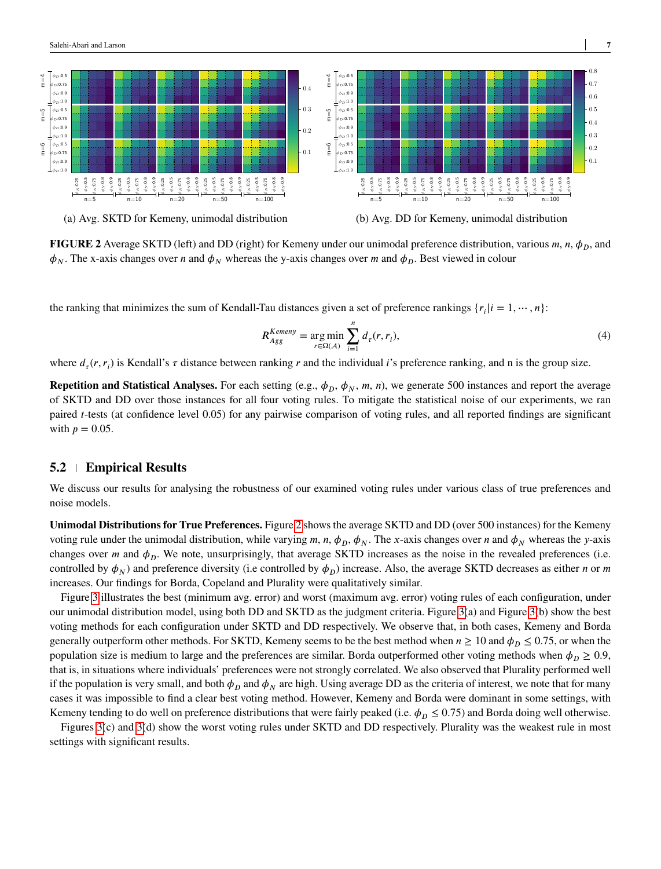<span id="page-6-0"></span>

**FIGURE 2** Average SKTD (left) and DD (right) for Kemeny under our unimodal preference distribution, various  $m$ ,  $n$ ,  $\phi_p$ , and  $\phi_N$ . The x-axis changes over *n* and  $\phi_N$  whereas the y-axis changes over *m* and  $\phi_D$ . Best viewed in colour

the ranking that minimizes the sum of Kendall-Tau distances given a set of preference rankings  $\{r_i | i = 1, \dots, n\}$ :

$$
R_{Agg}^{Kemeny} = \underset{r \in \Omega(\mathcal{A})}{\arg \min} \sum_{i=1}^{n} d_r(r, r_i), \tag{4}
$$

where  $d_{\tau}(r, r_i)$  is Kendall's  $\tau$  distance between ranking  $r$  and the individual *i*'s preference ranking, and n is the group size.

**Repetition and Statistical Analyses.** For each setting (e.g.,  $\phi_D$ ,  $\phi_N$ ,  $m$ ,  $n$ ), we generate 500 instances and report the average of SKTD and DD over those instances for all four voting rules. To mitigate the statistical noise of our experiments, we ran paired *t*-tests (at confidence level 0.05) for any pairwise comparison of voting rules, and all reported findings are significant with  $p = 0.05$ .

#### **5.2 Empirical Results**

We discuss our results for analysing the robustness of our examined voting rules under various class of true preferences and noise models.

**Unimodal Distributions for True Preferences.**Figure [2](#page-6-0) shows the average SKTD and DD (over 500 instances) for the Kemeny voting rule under the unimodal distribution, while varying  $m$ ,  $n$ ,  $\phi_p$ ,  $\phi_N$ . The *x*-axis changes over *n* and  $\phi_N$  whereas the *y*-axis changes over  $m$  and  $\phi_p$ . We note, unsurprisingly, that average SKTD increases as the noise in the revealed preferences (i.e. controlled by  $\phi_N$  and preference diversity (i.e controlled by  $\phi_D$ ) increase. Also, the average SKTD decreases as either *n* or *m* increases. Our findings for Borda, Copeland and Plurality were qualitatively similar.

Figure [3](#page-7-0) illustrates the best (minimum avg. error) and worst (maximum avg. error) voting rules of each configuration, under our unimodal distribution model, using both DD and SKTD as the judgment criteria. Figure [3\(](#page-7-0)a) and Figure [3\(](#page-7-0)b) show the best voting methods for each configuration under SKTD and DD respectively. We observe that, in both cases, Kemeny and Borda generally outperform other methods. For SKTD, Kemeny seems to be the best method when  $n \ge 10$  and  $\phi_p \le 0.75$ , or when the population size is medium to large and the preferences are similar. Borda outperformed other voting methods when  $\phi_p \geq 0.9$ , that is, in situations where individuals' preferences were not strongly correlated. We also observed that Plurality performed well if the population is very small, and both  $\phi_p$  and  $\phi_N$  are high. Using average DD as the criteria of interest, we note that for many cases it was impossible to find a clear best voting method. However, Kemeny and Borda were dominant in some settings, with Kemeny tending to do well on preference distributions that were fairly peaked (i.e.  $\phi_p \leq 0.75$ ) and Borda doing well otherwise.

Figures [3\(](#page-7-0)c) and [3\(](#page-7-0)d) show the worst voting rules under SKTD and DD respectively. Plurality was the weakest rule in most settings with significant results.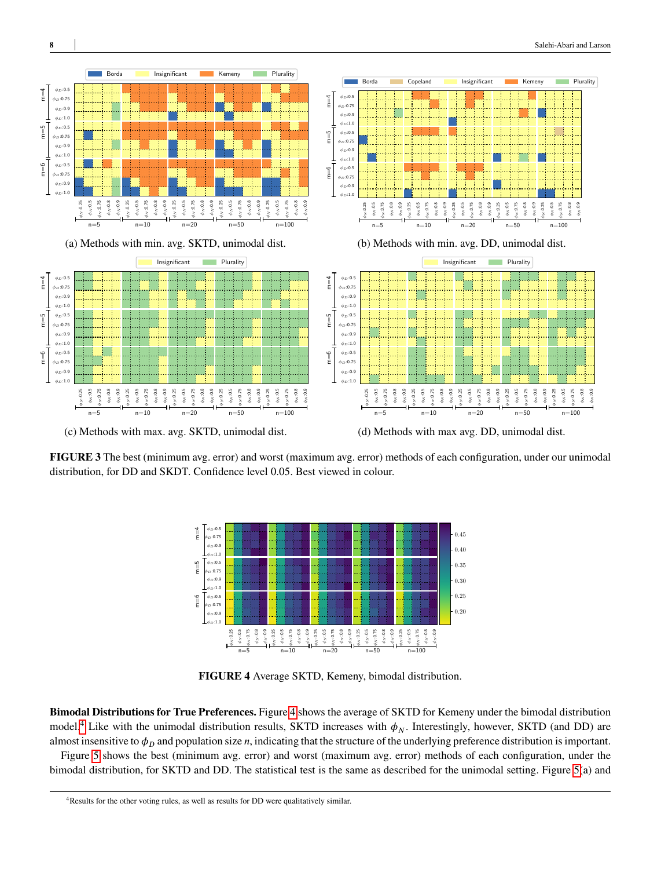<span id="page-7-0"></span>

(c) Methods with max. avg. SKTD, unimodal dist. (d) Methods with max avg. DD, unimodal dist.

<span id="page-7-1"></span>**FIGURE 3** The best (minimum avg. error) and worst (maximum avg. error) methods of each configuration, under our unimodal distribution, for DD and SKDT. Confidence level 0*.*05. Best viewed in colour.



**FIGURE 4** Average SKTD, Kemeny, bimodal distribution.

**Bimodal Distributions for True Preferences.** Figure [4](#page-7-1) shows the average of SKTD for Kemeny under the bimodal distribution model.<sup>[4](#page-0-0)</sup> Like with the unimodal distribution results, SKTD increases with  $\phi_N$ . Interestingly, however, SKTD (and DD) are almost insensitive to  $\phi$ <sup>*n*</sup> and population size *n*, indicating that the structure of the underlying preference distribution is important.

Figure [5](#page-8-0) shows the best (minimum avg. error) and worst (maximum avg. error) methods of each configuration, under the bimodal distribution, for SKTD and DD. The statistical test is the same as described for the unimodal setting. Figure [5\(](#page-8-0)a) and

<sup>4</sup>Results for the other voting rules, as well as results for DD were qualitatively similar.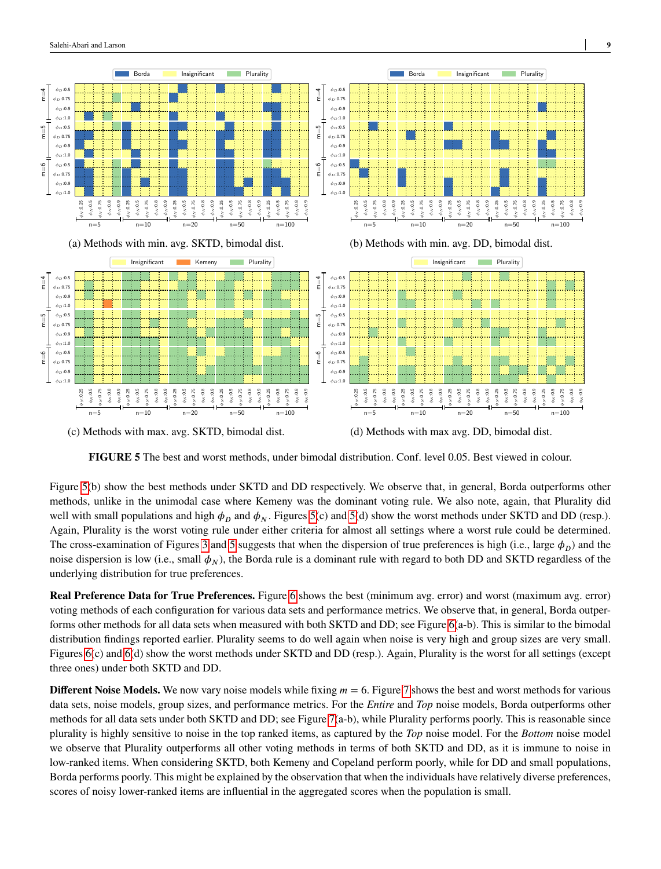<span id="page-8-0"></span>

(c) Methods with max. avg. SKTD, bimodal dist. (d) Methods with max avg. DD, bimodal dist.

**FIGURE 5** The best and worst methods, under bimodal distribution. Conf. level 0*.*05. Best viewed in colour.

Figure [5\(](#page-8-0)b) show the best methods under SKTD and DD respectively. We observe that, in general, Borda outperforms other methods, unlike in the unimodal case where Kemeny was the dominant voting rule. We also note, again, that Plurality did well with small populations and high  $\phi_D$  and  $\phi_N$ . Figures [5\(](#page-8-0)c) and 5(d) show the worst methods under SKTD and DD (resp.). Again, Plurality is the worst voting rule under either criteria for almost all settings where a worst rule could be determined. The cross-examination of Figures [3](#page-7-0) and [5](#page-8-0) suggests that when the dispersion of true preferences is high (i.e., large  $\phi_D$ ) and the noise dispersion is low (i.e., small  $\phi_N$ ), the Borda rule is a dominant rule with regard to both DD and SKTD regardless of the underlying distribution for true preferences.

**Real Preference Data for True Preferences.** Figure [6](#page-9-0) shows the best (minimum avg. error) and worst (maximum avg. error) voting methods of each configuration for various data sets and performance metrics. We observe that, in general, Borda outperforms other methods for all data sets when measured with both SKTD and DD; see Figure [6\(](#page-9-0)a-b). This is similar to the bimodal distribution findings reported earlier. Plurality seems to do well again when noise is very high and group sizes are very small. Figures [6\(](#page-9-0)c) and [6\(](#page-9-0)d) show the worst methods under SKTD and DD (resp.). Again, Plurality is the worst for all settings (except three ones) under both SKTD and DD.

**Different Noise Models.** We now vary noise models while fixing  $m = 6$ . Figure [7](#page-9-1) shows the best and worst methods for various data sets, noise models, group sizes, and performance metrics. For the *Entire* and *Top* noise models, Borda outperforms other methods for all data sets under both SKTD and DD; see Figure [7\(](#page-9-1)a-b), while Plurality performs poorly. This is reasonable since plurality is highly sensitive to noise in the top ranked items, as captured by the *Top* noise model. For the *Bottom* noise model we observe that Plurality outperforms all other voting methods in terms of both SKTD and DD, as it is immune to noise in low-ranked items. When considering SKTD, both Kemeny and Copeland perform poorly, while for DD and small populations, Borda performs poorly. This might be explained by the observation that when the individuals have relatively diverse preferences, scores of noisy lower-ranked items are influential in the aggregated scores when the population is small.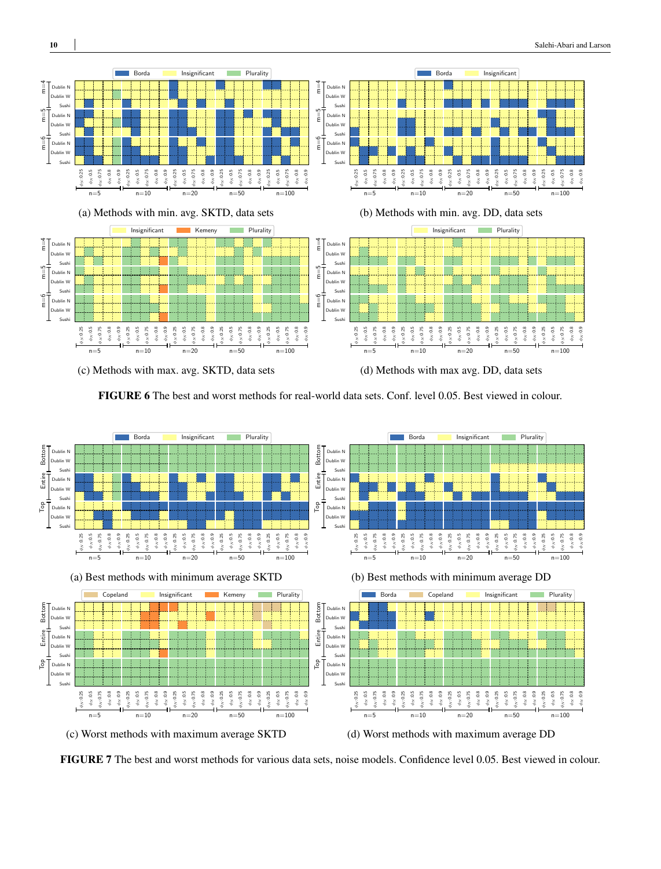<span id="page-9-0"></span>

**FIGURE 6** The best and worst methods for real-world data sets. Conf. level 0*.*05. Best viewed in colour.

<span id="page-9-1"></span>

**FIGURE 7** The best and worst methods for various data sets, noise models. Confidence level 0*.*05. Best viewed in colour.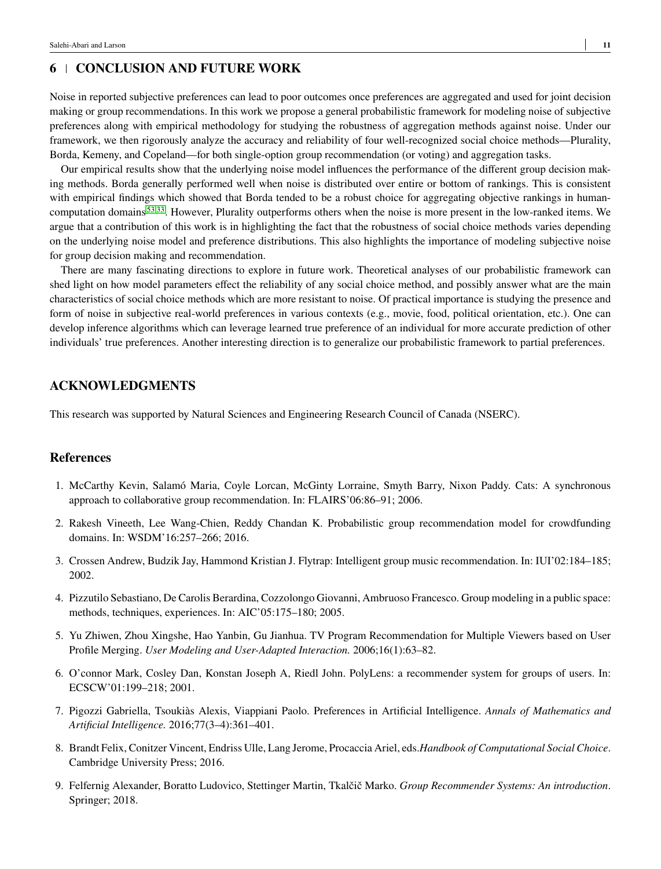# **6 CONCLUSION AND FUTURE WORK**

Noise in reported subjective preferences can lead to poor outcomes once preferences are aggregated and used for joint decision making or group recommendations. In this work we propose a general probabilistic framework for modeling noise of subjective preferences along with empirical methodology for studying the robustness of aggregation methods against noise. Under our framework, we then rigorously analyze the accuracy and reliability of four well-recognized social choice methods—Plurality, Borda, Kemeny, and Copeland—for both single-option group recommendation (or voting) and aggregation tasks.

Our empirical results show that the underlying noise model influences the performance of the different group decision making methods. Borda generally performed well when noise is distributed over entire or bottom of rankings. This is consistent with empirical findings which showed that Borda tended to be a robust choice for aggregating objective rankings in humancomputation domains [53](#page-12-21)[,33](#page-12-1). However, Plurality outperforms others when the noise is more present in the low-ranked items. We argue that a contribution of this work is in highlighting the fact that the robustness of social choice methods varies depending on the underlying noise model and preference distributions. This also highlights the importance of modeling subjective noise for group decision making and recommendation.

There are many fascinating directions to explore in future work. Theoretical analyses of our probabilistic framework can shed light on how model parameters effect the reliability of any social choice method, and possibly answer what are the main characteristics of social choice methods which are more resistant to noise. Of practical importance is studying the presence and form of noise in subjective real-world preferences in various contexts (e.g., movie, food, political orientation, etc.). One can develop inference algorithms which can leverage learned true preference of an individual for more accurate prediction of other individuals' true preferences. Another interesting direction is to generalize our probabilistic framework to partial preferences.

# **ACKNOWLEDGMENTS**

This research was supported by Natural Sciences and Engineering Research Council of Canada (NSERC).

### **References**

- <span id="page-10-0"></span>1. McCarthy Kevin, Salamó Maria, Coyle Lorcan, McGinty Lorraine, Smyth Barry, Nixon Paddy. Cats: A synchronous approach to collaborative group recommendation. In: FLAIRS'06:86–91; 2006.
- <span id="page-10-1"></span>2. Rakesh Vineeth, Lee Wang-Chien, Reddy Chandan K. Probabilistic group recommendation model for crowdfunding domains. In: WSDM'16:257–266; 2016.
- <span id="page-10-2"></span>3. Crossen Andrew, Budzik Jay, Hammond Kristian J. Flytrap: Intelligent group music recommendation. In: IUI'02:184–185; 2002.
- <span id="page-10-3"></span>4. Pizzutilo Sebastiano, De Carolis Berardina, Cozzolongo Giovanni, Ambruoso Francesco. Group modeling in a public space: methods, techniques, experiences. In: AIC'05:175–180; 2005.
- <span id="page-10-4"></span>5. Yu Zhiwen, Zhou Xingshe, Hao Yanbin, Gu Jianhua. TV Program Recommendation for Multiple Viewers based on User Profile Merging. *User Modeling and User-Adapted Interaction.* 2006;16(1):63–82.
- <span id="page-10-5"></span>6. O'connor Mark, Cosley Dan, Konstan Joseph A, Riedl John. PolyLens: a recommender system for groups of users. In: ECSCW'01:199–218; 2001.
- <span id="page-10-6"></span>7. Pigozzi Gabriella, Tsoukiàs Alexis, Viappiani Paolo. Preferences in Artificial Intelligence. *Annals of Mathematics and Artificial Intelligence.* 2016;77(3–4):361–401.
- <span id="page-10-7"></span>8. Brandt Felix, Conitzer Vincent, Endriss Ulle, Lang Jerome, Procaccia Ariel, eds.*Handbook of Computational Social Choice*. Cambridge University Press; 2016.
- <span id="page-10-8"></span>9. Felfernig Alexander, Boratto Ludovico, Stettinger Martin, Tkalčič Marko. *Group Recommender Systems: An introduction*. Springer; 2018.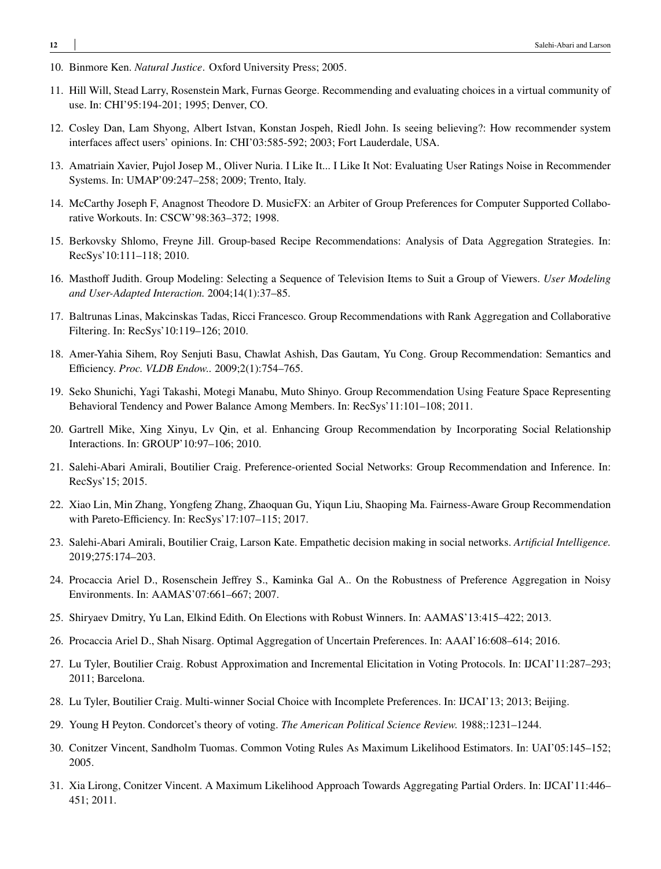- <span id="page-11-0"></span>10. Binmore Ken. *Natural Justice*. Oxford University Press; 2005.
- <span id="page-11-1"></span>11. Hill Will, Stead Larry, Rosenstein Mark, Furnas George. Recommending and evaluating choices in a virtual community of use. In: CHI'95:194-201; 1995; Denver, CO.
- <span id="page-11-2"></span>12. Cosley Dan, Lam Shyong, Albert Istvan, Konstan Jospeh, Riedl John. Is seeing believing?: How recommender system interfaces affect users' opinions. In: CHI'03:585-592; 2003; Fort Lauderdale, USA.
- <span id="page-11-3"></span>13. Amatriain Xavier, Pujol Josep M., Oliver Nuria. I Like It... I Like It Not: Evaluating User Ratings Noise in Recommender Systems. In: UMAP'09:247–258; 2009; Trento, Italy.
- <span id="page-11-4"></span>14. McCarthy Joseph F, Anagnost Theodore D. MusicFX: an Arbiter of Group Preferences for Computer Supported Collaborative Workouts. In: CSCW'98:363–372; 1998.
- <span id="page-11-5"></span>15. Berkovsky Shlomo, Freyne Jill. Group-based Recipe Recommendations: Analysis of Data Aggregation Strategies. In: RecSys'10:111–118; 2010.
- <span id="page-11-6"></span>16. Masthoff Judith. Group Modeling: Selecting a Sequence of Television Items to Suit a Group of Viewers. *User Modeling and User-Adapted Interaction.* 2004;14(1):37–85.
- <span id="page-11-7"></span>17. Baltrunas Linas, Makcinskas Tadas, Ricci Francesco. Group Recommendations with Rank Aggregation and Collaborative Filtering. In: RecSys'10:119–126; 2010.
- <span id="page-11-8"></span>18. Amer-Yahia Sihem, Roy Senjuti Basu, Chawlat Ashish, Das Gautam, Yu Cong. Group Recommendation: Semantics and Efficiency. *Proc. VLDB Endow..* 2009;2(1):754–765.
- <span id="page-11-9"></span>19. Seko Shunichi, Yagi Takashi, Motegi Manabu, Muto Shinyo. Group Recommendation Using Feature Space Representing Behavioral Tendency and Power Balance Among Members. In: RecSys'11:101–108; 2011.
- <span id="page-11-10"></span>20. Gartrell Mike, Xing Xinyu, Lv Qin, et al. Enhancing Group Recommendation by Incorporating Social Relationship Interactions. In: GROUP'10:97–106; 2010.
- <span id="page-11-11"></span>21. Salehi-Abari Amirali, Boutilier Craig. Preference-oriented Social Networks: Group Recommendation and Inference. In: RecSys'15; 2015.
- <span id="page-11-12"></span>22. Xiao Lin, Min Zhang, Yongfeng Zhang, Zhaoquan Gu, Yiqun Liu, Shaoping Ma. Fairness-Aware Group Recommendation with Pareto-Efficiency. In: RecSys'17:107–115; 2017.
- <span id="page-11-13"></span>23. Salehi-Abari Amirali, Boutilier Craig, Larson Kate. Empathetic decision making in social networks. *Artificial Intelligence.* 2019;275:174–203.
- <span id="page-11-14"></span>24. Procaccia Ariel D., Rosenschein Jeffrey S., Kaminka Gal A.. On the Robustness of Preference Aggregation in Noisy Environments. In: AAMAS'07:661–667; 2007.
- <span id="page-11-15"></span>25. Shiryaev Dmitry, Yu Lan, Elkind Edith. On Elections with Robust Winners. In: AAMAS'13:415–422; 2013.
- <span id="page-11-16"></span>26. Procaccia Ariel D., Shah Nisarg. Optimal Aggregation of Uncertain Preferences. In: AAAI'16:608–614; 2016.
- <span id="page-11-17"></span>27. Lu Tyler, Boutilier Craig. Robust Approximation and Incremental Elicitation in Voting Protocols. In: IJCAI'11:287–293; 2011; Barcelona.
- <span id="page-11-18"></span>28. Lu Tyler, Boutilier Craig. Multi-winner Social Choice with Incomplete Preferences. In: IJCAI'13; 2013; Beijing.
- <span id="page-11-19"></span>29. Young H Peyton. Condorcet's theory of voting. *The American Political Science Review.* 1988;:1231–1244.
- <span id="page-11-20"></span>30. Conitzer Vincent, Sandholm Tuomas. Common Voting Rules As Maximum Likelihood Estimators. In: UAI'05:145–152; 2005.
- <span id="page-11-21"></span>31. Xia Lirong, Conitzer Vincent. A Maximum Likelihood Approach Towards Aggregating Partial Orders. In: IJCAI'11:446– 451; 2011.